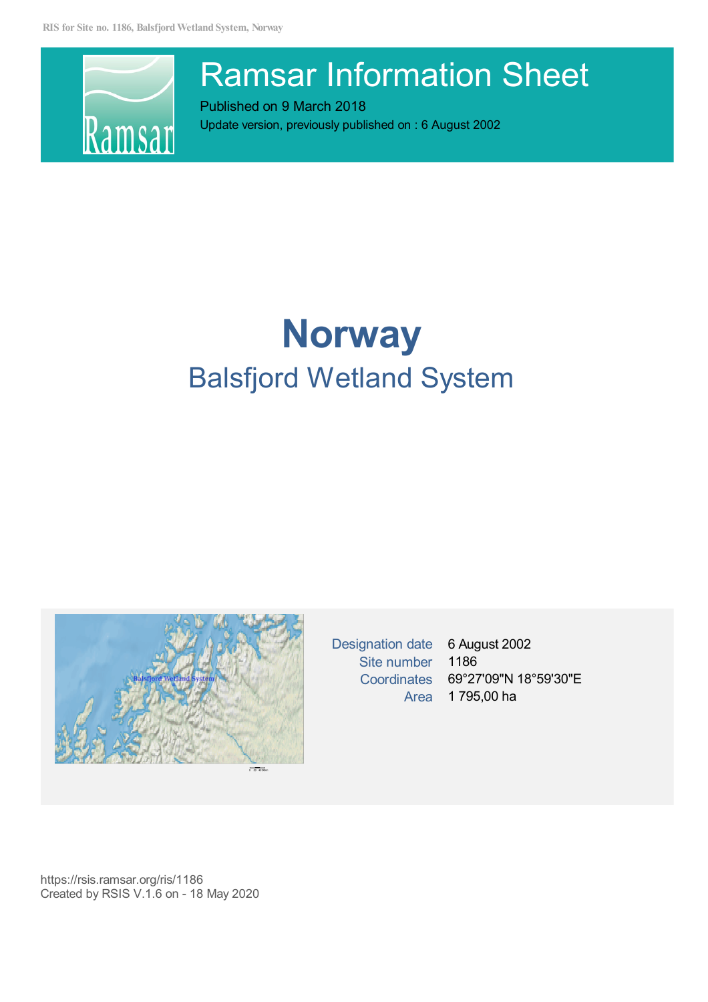

# Ramsar Information Sheet

Published on 9 March 2018 Update version, previously published on :6 August 2002

# **Norway** Balsfjord Wetland System



Designation date 6 August 2002 Site number 1186

Coordinates 69°27'09"N 18°59'30"E Area 1 795,00 ha

https://rsis.ramsar.org/ris/1186 Created by RSIS V.1.6 on - 18 May 2020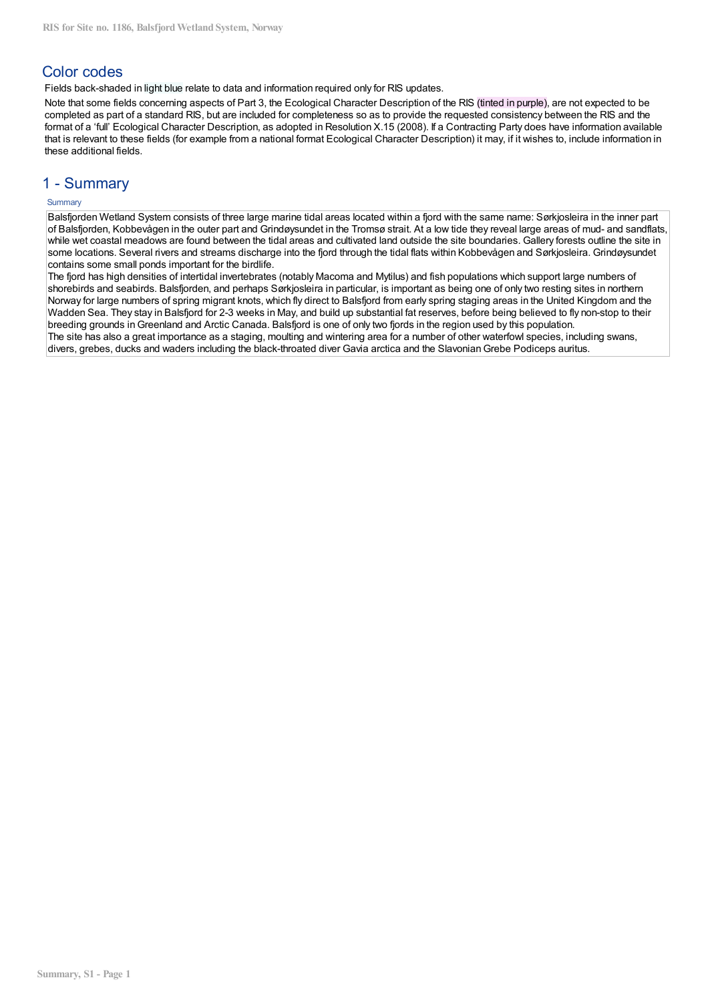# **Color codes**

Fields back-shaded in light blue relate to data and information required only for RIS updates.

Note that some fields concerning aspects of Part 3, the Ecological Character Description of the RIS (tinted in purple), are not expected to be completed as part of a standard RIS, but are included for completeness so as to provide the requested consistency between the RIS and the format of a 'full' Ecological Character Description, as adopted in Resolution X.15 (2008). If a Contracting Party does have information available that is relevant to these fields (for example from a national format Ecological Character Description) it may, if it wishes to, include information in these additional fields.

# 1 - Summarv

## Summary

Balsfjorden Wetland System consists of three large marine tidal areas located within a fjord with the same name: Sørkjosleira in the inner part of Balsfjorden, Kobbevågen in the outer part and Grindøysundet in the Tromsø strait. At a low tide they reveal large areas of mud- and sandflats, while wet coastal meadows are found between the tidal areas and cultivated land outside the site boundaries. Gallery forests outline the site in some locations. Several rivers and streams discharge into the fjord through the tidal flats within Kobbevågen and Sørkjosleira. Grindøysundet contains some small ponds important for the birdlife.

The fjord has high densities of intertidal invertebrates (notably Macoma and Mytilus) and fish populations which support large numbers of shorebirds and seabirds. Balsfjorden, and perhaps Sørkjosleira in particular, is important as being one of only two resting sites in northern Norway for large numbers of spring migrant knots, which fly direct to Balsfjord from early spring staging areas in the United Kingdom and the Wadden Sea. They stay in Balsfjord for 2-3 weeks in May, and build up substantial fat reserves, before being believed to fly non-stop to their breeding grounds in Greenland and Arctic Canada. Balsfjord is one of only two fjords in the region used by this population. The site has also a great importance as a staging, moulting and wintering area for a number of other waterfowl species, including swans, divers, grebes, ducks and waders including the black-throated diver Gavia arctica and the Slavonian Grebe Podiceps auritus.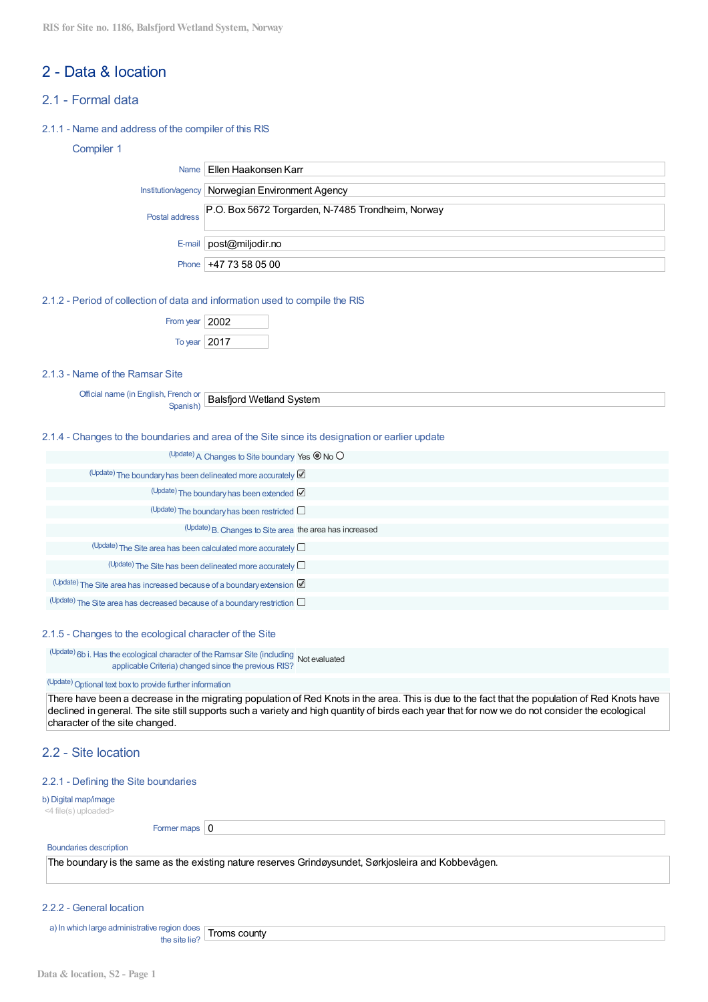# 2 - Data & location

# 21 - Formal data

## 2.1.1 - Name and address of the compiler of this RIS

Ï

## Compiler 1

|                | Name   Ellen Haakonsen Karr                       |
|----------------|---------------------------------------------------|
|                | nstitution/agency   Norwegian Environment Agency  |
| Postal address | P.O. Box 5672 Torgarden, N-7485 Trondheim, Norway |
|                | E-mail   $post@miliodir.no$                       |
|                | Phone $ +4773580500$                              |

2.1.2 - Period of collection of data and information used to compile the RIS

| From year $ 2002$ |  |
|-------------------|--|
| To year $ 2017$   |  |

## 2.1.3 - Name of the Ramsar Site

| Offici.<br>- -<br>∖ fif<br>∵-nglisr |                               |
|-------------------------------------|-------------------------------|
|                                     | System<br>W/<br>≏īlanr<br>אזר |
|                                     | saistir                       |
|                                     |                               |
| .                                   |                               |

## 2.1.4 - Changes to the boundaries and area of the Site since its designation or earlier update

| (Update) A Changes to Site boundary Yes $\circledcirc$ No $\circlearrowright$       |  |
|-------------------------------------------------------------------------------------|--|
| (Update) The boundary has been delineated more accurately $\boxtimes$               |  |
| $(\text{Update})$ The boundary has been extended $\boxtimes$                        |  |
| $($ Update) The boundary has been restricted $\Box$                                 |  |
| (Update) B. Changes to Site area the area has increased                             |  |
| $\Box$ <sup>(Update)</sup> The Site area has been calculated more accurately $\Box$ |  |
| $($ Update) The Site has been delineated more accurately $\Box$                     |  |
| (Update) The Site area has increased because of a boundary extension                |  |
| $(Update)$ The Site area has decreased because of a boundary restriction $\Box$     |  |

#### 2.1.5 - Changes to the ecological character of the Site

(Update) 6b i. Has the ecological character of the Ramsar Site (including Not evaluated applicable Criteria) changed since the previous RIS?

## (Update) Optional text box to provide further information

There have been a decrease in the migrating population of Red Knots in the area. This is due to the fact that the population of Red Knots have declined in general. The site still supports such a variety and high quantity of birds each year that for now we do not consider the ecological character of the site changed.

# 2.2 - Site Incation

## 2.2.1 - Defining the Site boundaries

#### b) Digital map/image

<4 file(s) uploaded>

Former maps  $\vert 0$ 

## **Boundaries description**

The boundary is the same as the existing nature reserves Grindøysundet, Sørkjosleira and Kobbevågen.

#### 2.2.2 - General location

a) In which large administrative region does Troms county the site lie?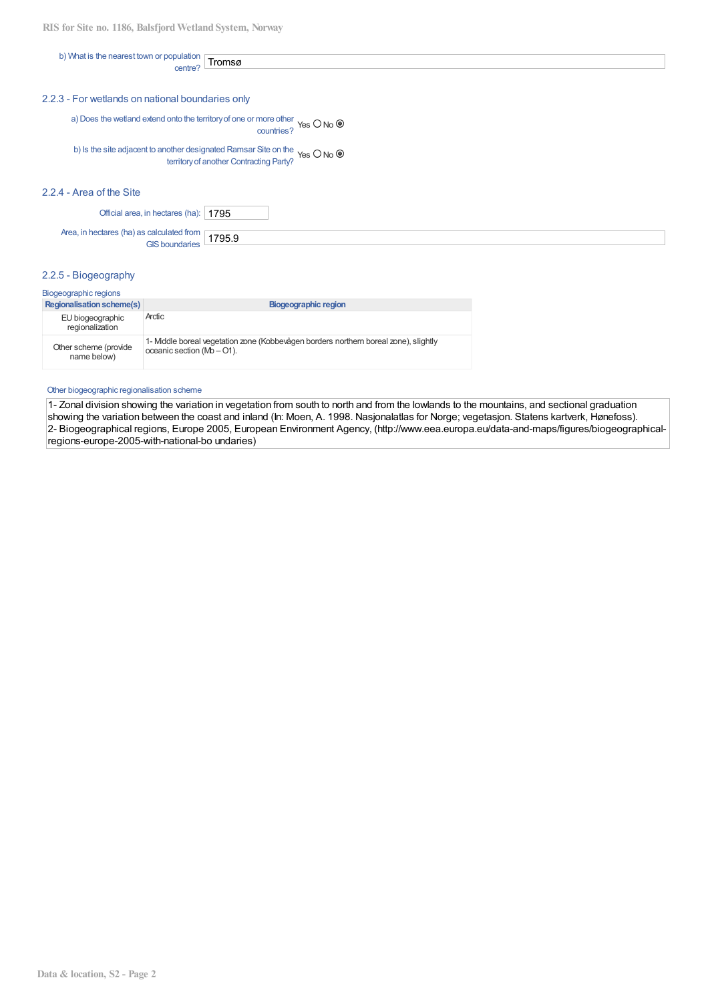| b) What is the nearest          |               |
|---------------------------------|---------------|
| population<br>TONMP<br>. แมงขาว |               |
|                                 | <b>Iromsø</b> |
| centre                          |               |

#### 2.2.3 - For wetlands on national boundaries only

a) Does the wetland extend onto the territory of one or more other Yes  $O$  No  $\odot$  countries?

b) Is the site adjacent to another designated Ramsar Site on the Yes  $O$  No  $\circledcirc$ territory of another Contracting Party?

## 2.2.4 - Area of the Site

Official area, in hectares (ha): 1795

Area, in hectares (ha) as calculated from [ 1795.9 **GIS boundaries** 

## 2.2.5 - Biogeography

| Biogeographic regions                |                                                                                                                       |  |  |  |  |  |
|--------------------------------------|-----------------------------------------------------------------------------------------------------------------------|--|--|--|--|--|
| <b>Regionalisation scheme(s)</b>     | Biogeographic region                                                                                                  |  |  |  |  |  |
| EU biogeographic<br>regionalization  | Arctic                                                                                                                |  |  |  |  |  |
| Other scheme (provide<br>name below) | 1- Middle boreal vegetation zone (Kobbevågen borders northern boreal zone), slightly<br>oceanic section $(Mb - O1)$ . |  |  |  |  |  |

#### Other biogeographic regionalisation scheme

1- Zonal division showing the variation in vegetation from south to north and from the lowlands to the mountains, and sectional graduation showing the variation between the coast and inland (In: Moen, A. 1998. Nasjonalatlas for Norge; vegetasjon. Statens kartverk, Hønefoss). 2- Biogeographical regions, Europe 2005, European Environment Agency, (http://www.eea.europa.eu/data-and-maps/figures/biogeographicalregions-europe-2005-with-national-bo undaries)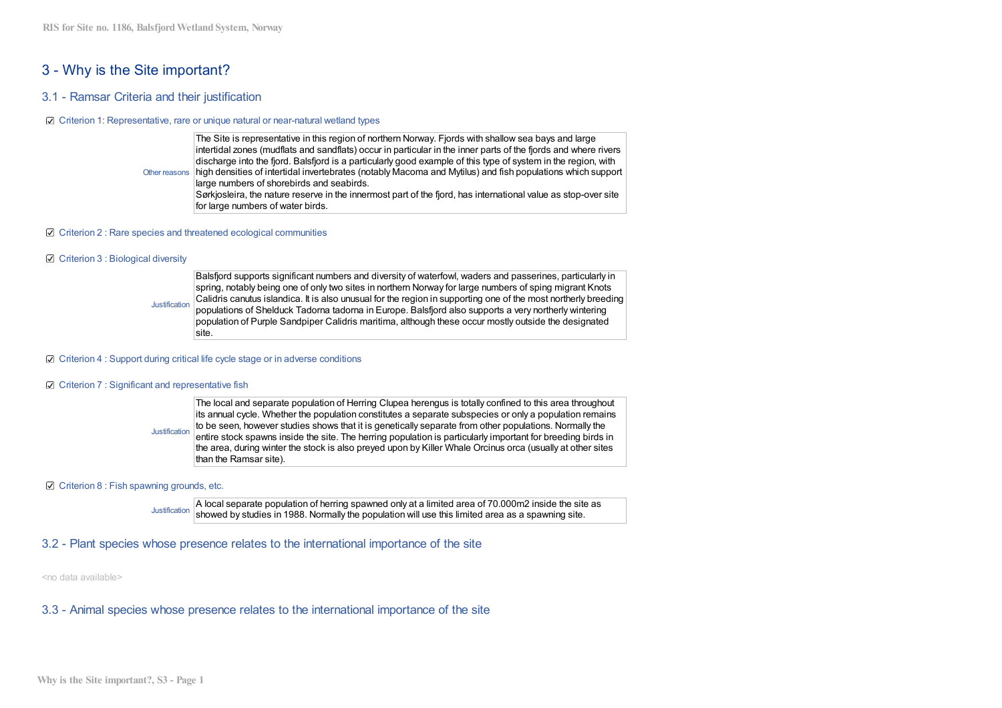# 3 - Why is the Site important?

## 3.1 - Ramsar Criteria and their iustification

#### ☑ Criterion 1: Representative, rare or unique natural or near-natural wetland types

The Site is representative in this region of northern Norway. Fjords with shallow sea bays and large intertidal zones (mudflats and sandflats) occur in particular in the inner parts of the fjords and where rivers discharge into the fiord. Balsfiord is a particularly good example of this type of system in the region, with high densities of intertidal invertebrates (notably Macoma and Mytilus) and fish populations which support Other reasons large numbers of shorebirds and seabirds. Sørkjosleira, the nature reserve in the innermost part of the fjord, has international value as stop-over site for large numbers of water birds.

#### $\boxtimes$  Criterion 2 : Rare species and threatened ecological communities

#### ☑ Criterion 3 : Biological diversity

Balsfjord supports significant numbers and diversity of waterfowl, waders and passerines, particularly in spring, notably being one of only two sites in northern Norway for large numbers of sping migrant Knots Calidris canutus islandica. It is also unusual for the region in supporting one of the most northerly breeding **Justification** populations of Shelduck Tadorna tadorna in Europe. Balsfjord also supports a very northerly wintering population of Purple Sandpiper Calidris maritima, although these occur mostly outside the designated site.

#### $\boxtimes$  Criterion 4 : Support during critical life cycle stage or in adverse conditions

#### ☑ Criterion 7 : Significant and representative fish

The local and separate population of Herring Clupea herengus is totally confined to this area throughout its annual cycle. Whether the population constitutes a separate subspecies or only a population remains to be seen, however studies shows that it is genetically separate from other populations. Normally the Justification entire stock spawns inside the site. The herring population is particularly important for breeding birds in the area, during winter the stock is also preved upon by Killer Whale Orcinus orca (usually at other sites than the Ramsar site).

#### ☑ Criterion 8 : Fish spawning grounds, etc.

A local separate population of herring spawned only at a limited area of 70.000m2 inside the site as **Justification** showed by studies in 1988. Normally the population will use this limited area as a spawning site.

## 3.2 - Plant species whose presence relates to the international importance of the site

<no data available>

## 3.3 - Animal species whose presence relates to the international importance of the site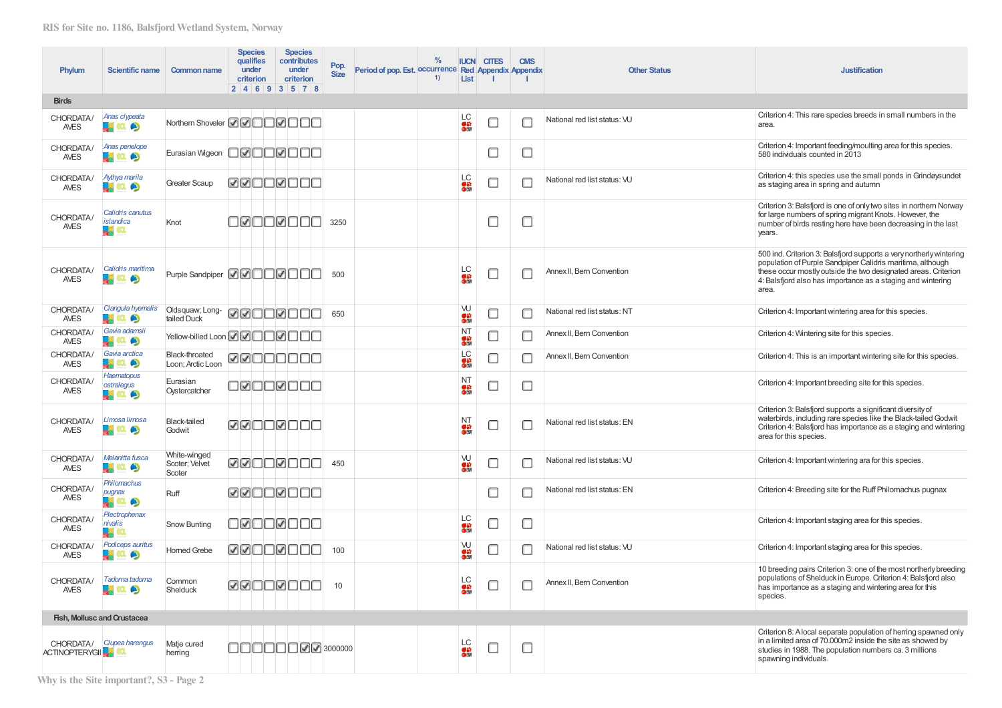| Phylum                   | <b>Scientific name</b>                          | <b>Common name</b>                        |                 | <b>Species</b><br>qualifies<br>under<br>criterion<br>2   4   6   9   3   5   7   8 | <b>Species</b><br>contributes<br>under<br>criterion | Pop.<br><b>Size</b>      | Period of pop. Est. occurrence Red Appendix Appendix | $\%$<br>1) | <b>IUCN</b><br>List      | <b>CITES</b> | <b>CMS</b>               | <b>Other Status</b>          | <b>Justification</b>                                                                                                                                                                                                                                                        |
|--------------------------|-------------------------------------------------|-------------------------------------------|-----------------|------------------------------------------------------------------------------------|-----------------------------------------------------|--------------------------|------------------------------------------------------|------------|--------------------------|--------------|--------------------------|------------------------------|-----------------------------------------------------------------------------------------------------------------------------------------------------------------------------------------------------------------------------------------------------------------------------|
| <b>Birds</b>             |                                                 |                                           |                 |                                                                                    |                                                     |                          |                                                      |            |                          |              |                          |                              |                                                                                                                                                                                                                                                                             |
| CHORDATA/<br><b>AVES</b> | Anas clypeata<br>黒紅の                            | Northern Shoveler <b>200000000</b>        |                 |                                                                                    |                                                     |                          |                                                      |            | <b>LC</b><br>ON          | $\Box$       | П                        | National red list status: VU | Criterion 4: This rare species breeds in small numbers in the<br>area.                                                                                                                                                                                                      |
| CHORDATA/<br><b>AVES</b> | Anas penelope<br>ч.<br>$a$ o                    | Eurasian Wigeon                           |                 | oøooøooo                                                                           |                                                     |                          |                                                      |            |                          | $\Box$       | ∟                        |                              | Criterion 4: Important feeding/moulting area for this species.<br>580 individuals counted in 2013                                                                                                                                                                           |
| CHORDATA/<br><b>AVES</b> | Aythya marila<br>黒紅の                            | <b>Greater Scaup</b>                      | <b>ZZOOZOOC</b> |                                                                                    |                                                     |                          |                                                      |            | LC<br>63<br>0瞬           | $\Box$       | П                        | National red list status: VU | Criterion 4: this species use the small ponds in Grindøysundet<br>as staging area in spring and autumn                                                                                                                                                                      |
| CHORDATA/<br><b>AVES</b> | Calidris canutus<br>islandica<br><b>Red</b> eq. | Knot                                      |                 | <b>DIGOROOC</b>                                                                    |                                                     | 3250                     |                                                      |            |                          | □            | □                        |                              | Criterion 3: Balsfjord is one of only two sites in northern Norway<br>for large numbers of spring migrant Knots. However, the<br>number of birds resting here have been decreasing in the last<br>years.                                                                    |
| CHORDATA/<br><b>AVES</b> | Calidris maritima<br><b>B</b> a c               | Purple Sandpiper <b>ØØ</b> □□Ø□□□         |                 |                                                                                    |                                                     | 500                      |                                                      |            | <b>LC</b><br>ON          | $\Box$       | U                        | Annex II, Bern Convention    | 500 ind. Criterion 3: Balsfjord supports a very northerly wintering<br>population of Purple Sandpiper Calidris maritima, although<br>these occur mostly outside the two designated areas. Criterion<br>4: Balsfjord also has importance as a staging and wintering<br>area. |
| CHORDATA/<br><b>AVES</b> | Clangula hyemalis<br>黒いのう                       | Oldsquaw; Long-<br>tailed Duck            |                 | <u>vøddødde</u>                                                                    |                                                     | 650                      |                                                      |            | W<br>on<br>Olif          | $\Box$       | $\Box$                   | National red list status: NT | Criterion 4: Important wintering area for this species.                                                                                                                                                                                                                     |
| CHORDATA/<br><b>AVES</b> | Gavia adamsii<br>黒紅の                            | Yellow-billed Loon <b>2</b> 0 0 0 0 0 0 0 |                 |                                                                                    |                                                     |                          |                                                      |            | <b>NT</b><br>os:<br>Olif | $\Box$       | □                        | Annex II. Bern Convention    | Criterion 4: Wintering site for this species.                                                                                                                                                                                                                               |
| CHORDATA/<br><b>AVES</b> | Gavia arctica<br><b>REAL</b> O                  | Black-throated<br>Loon; Arctic Loon       |                 | RROOOOO                                                                            |                                                     |                          |                                                      |            | LC<br>63                 | ⊓            | □                        | Annex II, Bern Convention    | Criterion 4: This is an important wintering site for this species.                                                                                                                                                                                                          |
| CHORDATA/<br>AVES        | Haematopus<br>ostralegus<br>黒紅の                 | Eurasian<br>Oystercatcher                 |                 | <u>døooroc</u>                                                                     |                                                     |                          |                                                      |            | NT<br>s:<br>Olif         | □            | О                        |                              | Criterion 4: Important breeding site for this species.                                                                                                                                                                                                                      |
| CHORDATA/<br><b>AVES</b> | Limosa limosa<br>黒紅の                            | <b>Black-tailed</b><br>Godwit             |                 | <u>WWOOWOOO</u>                                                                    |                                                     |                          |                                                      |            | NT<br>s:<br>Olif         | □            | □                        | National red list status: EN | Criterion 3: Balsfjord supports a significant diversity of<br>waterbirds, including rare species like the Black-tailed Godwit<br>Criterion 4: Balsfjord has importance as a staging and wintering<br>area for this species.                                                 |
| CHORDATA/<br><b>AVES</b> | Melanitta fusca<br>黒紅の                          | White-winged<br>Scoter; Velvet<br>Scoter  | ØØOOØOOO        |                                                                                    |                                                     | 450                      |                                                      |            | W<br>on<br>Olif          | $\Box$       | $\Box$                   | National red list status: VU | Criterion 4: Important wintering ara for this species.                                                                                                                                                                                                                      |
| CHORDATA/<br><b>AVES</b> | Philomachus<br>pugnax<br>黒紅の                    | Ruff                                      |                 | ØØOOØOOO                                                                           |                                                     |                          |                                                      |            |                          | $\Box$       | П                        | National red list status: EN | Criterion 4: Breeding site for the Ruff Philomachus pugnax                                                                                                                                                                                                                  |
| CHORDATA/<br><b>AVES</b> | Plectrophenax<br>nivalis<br><b>Le</b> ca        | Snow Bunting                              |                 | OROOROOC                                                                           |                                                     |                          |                                                      |            | LC<br>on<br>Olif         | □            | u                        |                              | Criterion 4: Important staging area for this species.                                                                                                                                                                                                                       |
| CHORDATA/<br><b>AVES</b> | Podiceps auritus<br>黒紅の                         | <b>Horned Grebe</b>                       |                 | <b>ØØOOØOOC</b>                                                                    |                                                     | 100                      |                                                      |            | W<br>ga<br>Olif          | $\Box$       | □                        | National red list status: VU | Criterion 4: Important staging area for this species.                                                                                                                                                                                                                       |
| <b>AVES</b>              | CHORDATA/ Tadorna tadorna<br>黒紅の                | Common<br>Shelduck                        |                 |                                                                                    | ØØOOØOOO                                            | 10                       |                                                      |            | LС<br>$\bullet$          | $\Box$       | $\overline{\phantom{a}}$ | Annex II, Bern Convention    | 10 breeding pairs Criterion 3: one of the most northerly breeding<br>populations of Shelduck in Europe. Criterion 4: Balsfjord also<br>has importance as a staging and wintering area for this<br>species.                                                                  |
|                          | Fish, Mollusc and Crustacea                     |                                           |                 |                                                                                    |                                                     |                          |                                                      |            |                          |              |                          |                              |                                                                                                                                                                                                                                                                             |
| <b>ACTINOPTERYGIK</b>    | CHORDATA/ Clupea harengus                       | Matje cured<br>herring                    |                 |                                                                                    |                                                     | <b>00000000</b> 03000000 |                                                      |            | LC<br>88                 | $\Box$       | о                        |                              | Criterion 8: A local separate population of herring spawned only<br>in a limited area of 70.000m2 inside the site as showed by<br>studies in 1988. The population numbers ca. 3 millions<br>spawning individuals.                                                           |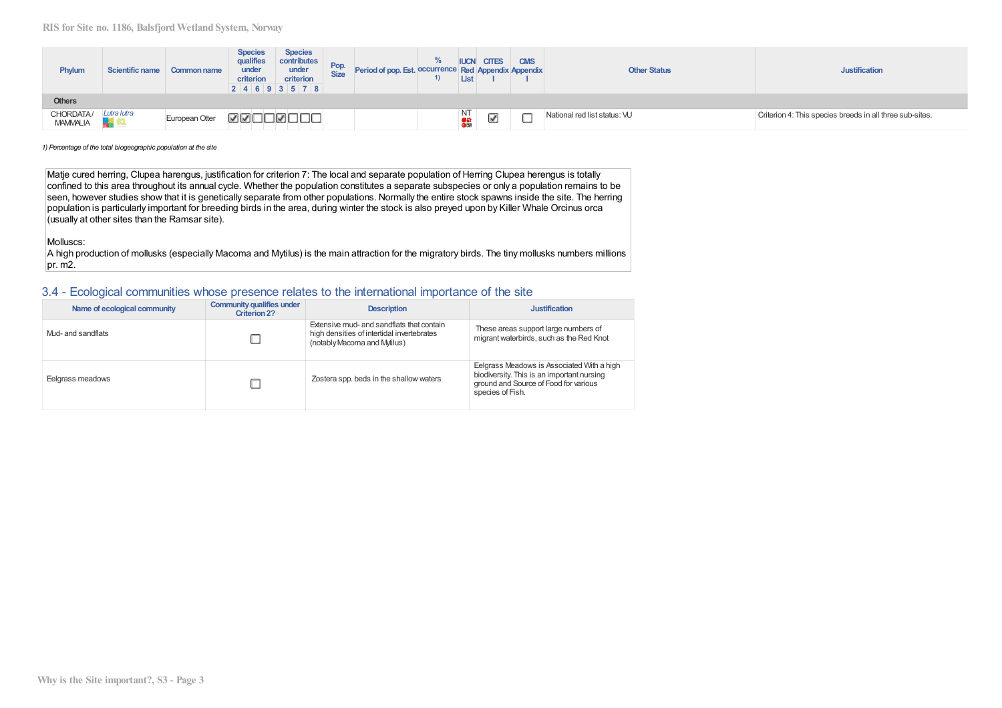| Phylum                       | <b>Scientific name</b> | Common name    | <b>Species</b><br>qualifies<br>under<br>criterion | <b>Species</b><br>contributes<br>under<br>criterion<br>2 4 6 93578 | Pop.<br>Size | Period of pop. Est. occurrence Red Appendix Appendix | $\%$ | <b>IUCN</b><br>List   | <b>CITES</b> | <b>CMS</b> | <b>Other Status</b>          | <b>Justification</b>                                     |
|------------------------------|------------------------|----------------|---------------------------------------------------|--------------------------------------------------------------------|--------------|------------------------------------------------------|------|-----------------------|--------------|------------|------------------------------|----------------------------------------------------------|
| <b>Others</b>                |                        |                |                                                   |                                                                    |              |                                                      |      |                       |              |            |                              |                                                          |
| CHORDATA/<br><b>MAMMALIA</b> | Lutra lutra<br>لتها    | European Otter | ノノ                                                | ⊪✔                                                                 |              |                                                      |      | NT<br><mark>이창</mark> | -<br>✔       | يستعا      | National red list status: VU | Criterion 4: This species breeds in all three sub-sites. |

1) Percentage of the total biogeographic population at the site

Matje cured herring, Clupea harengus, justification for criterion 7: The local and separate population of Herring Clupea herengus is totally confined to this area throughout its annual cycle. Whether the population constitutes a separate subspecies or only a population remains to be seen, however studies show that it is genetically separate from other populations. Normally the entire stock spawns inside the site. The herring population is particularly important for breeding birds in the area, during winter the stock is also preyed upon by Killer Whale Orcinus orca (usually at other sites than the Ramsar site).

Molluscs:

A high production of mollusks (especially Macoma and Mytilus) is the main attraction for the migratory birds. The tiny mollusks numbers millions  $pr. m2.$ 

## 3.4 - Ecological communities whose presence relates to the international importance of the site

| Name of ecological community | <b>Community qualifies under</b><br><b>Criterion 2?</b> | <b>Description</b>                                                                                                      | <b>Justification</b>                                                                                                                                  |
|------------------------------|---------------------------------------------------------|-------------------------------------------------------------------------------------------------------------------------|-------------------------------------------------------------------------------------------------------------------------------------------------------|
| Mud- and sandflats           |                                                         | Extensive mud- and sandflats that contain<br>high densities of intertidal invertebrates<br>(notably Macoma and Mytilus) | These areas support large numbers of<br>migrant waterbirds, such as the Red Knot                                                                      |
| Eelgrass meadows             |                                                         | Zostera spp. beds in the shallow waters                                                                                 | Eelgrass Meadows is Associated With a high<br>biodiversity. This is an important nursing<br>ground and Source of Food for various<br>species of Fish. |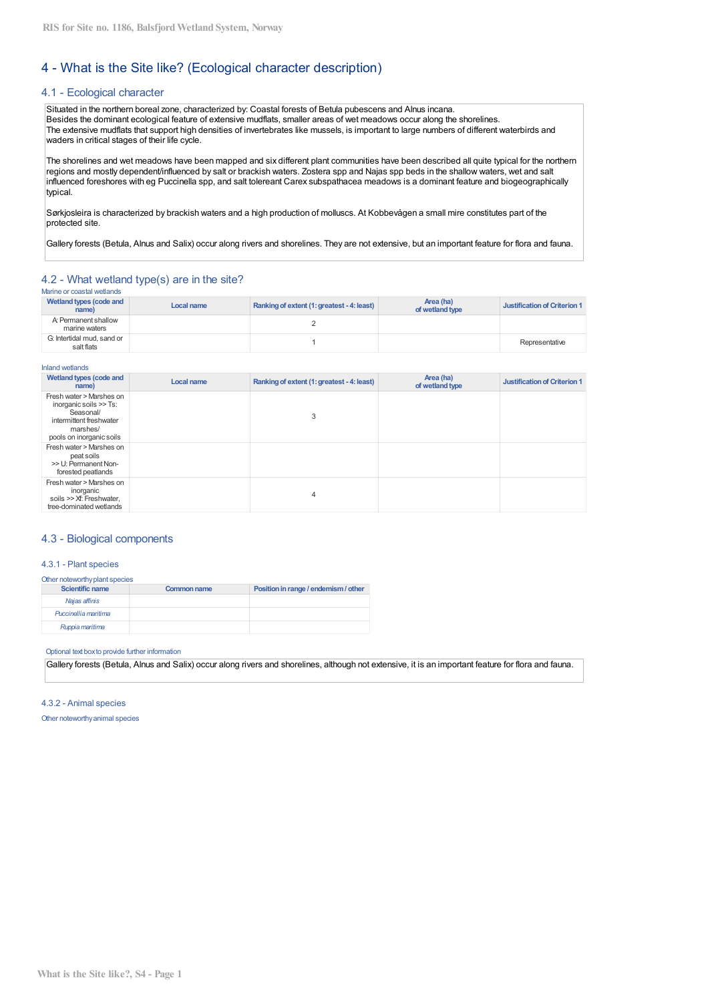# 4 - What is the Site like? (Ecological character description)

## 4.1 - Ecological character

Situated in the northern boreal zone, characterized by: Coastal forests of Betula pubescens and Alnus incana. Besides the dominant ecological feature of extensive mudflats, smaller areas of wet meadows occur along the shorelines. The extensive mudflats that support high densities of invertebrates like mussels, is important to large numbers of different waterbirds and waders in critical stages of their life cycle.

The shorelines and wet meadows have been mapped and six different plant communities have been described all quite typical for the northern regions and mostly dependent/influenced by salt or brackish waters. Zostera spp and Najas spp beds in the shallow waters, wet and salt influenced foreshores with eg Puccinella spp, and salt tolereant Carex subspathacea meadows is a dominant feature and biogeographically typical.

Sørkjosleira is characterized by brackish waters and a high production of molluscs. At Kobbevågen a small mire constitutes part of the protected site.

Gallery forests (Betula, Alnus and Salix) occur along rivers and shorelines. They are not extensive, but an important feature for flora and fauna.

## 4.2 - What wetland type(s) are in the site?

| <u>IVMIIN VI VUUUMI VYVIUINU</u>         |            |                                            |                              |                              |
|------------------------------------------|------------|--------------------------------------------|------------------------------|------------------------------|
| Wetland types (code and<br>name)         | Local name | Ranking of extent (1: greatest - 4: least) | Area (ha)<br>of wetland type | Justification of Criterion 1 |
| A: Permanent shallow<br>marine waters    |            |                                            |                              |                              |
| G: Intertidal mud. sand or<br>salt flats |            |                                            |                              | Representative               |

| <b>Inland wetlands</b>                                                                                                             |            |                                            |                              |                                     |
|------------------------------------------------------------------------------------------------------------------------------------|------------|--------------------------------------------|------------------------------|-------------------------------------|
| Wetland types (code and<br>name)                                                                                                   | Local name | Ranking of extent (1: greatest - 4: least) | Area (ha)<br>of wetland type | <b>Justification of Criterion 1</b> |
| Fresh water > Marshes on<br>inorganic soils >> Ts:<br>Seasonal/<br>intermittent freshwater<br>marshes/<br>pools on inorganic soils |            | 3                                          |                              |                                     |
| Fresh water > Marshes on<br>peat soils<br>>> U: Permanent Non-<br>forested peatlands                                               |            |                                            |                              |                                     |
| Fresh water > Marshes on<br>inorganic<br>soils >> Xf: Freshwater.<br>tree-dominated wetlands                                       |            | 4                                          |                              |                                     |

## 4.3 - Biological components

## 4.3.1 - Plant species

| Other noteworthy plant species |                    |                                      |  |  |  |  |  |
|--------------------------------|--------------------|--------------------------------------|--|--|--|--|--|
| <b>Scientific name</b>         | <b>Common name</b> | Position in range / endemism / other |  |  |  |  |  |
| Najas affinis                  |                    |                                      |  |  |  |  |  |
| Puccinellia maritima           |                    |                                      |  |  |  |  |  |
| Ruppia maritima                |                    |                                      |  |  |  |  |  |

#### Optional text box to provide further information

Gallery forests (Betula, Alnus and Salix) occur along rivers and shorelines, although not extensive, it is an important feature for flora and fauna.

#### 4.3.2 - Animal species

Other noteworthy animal species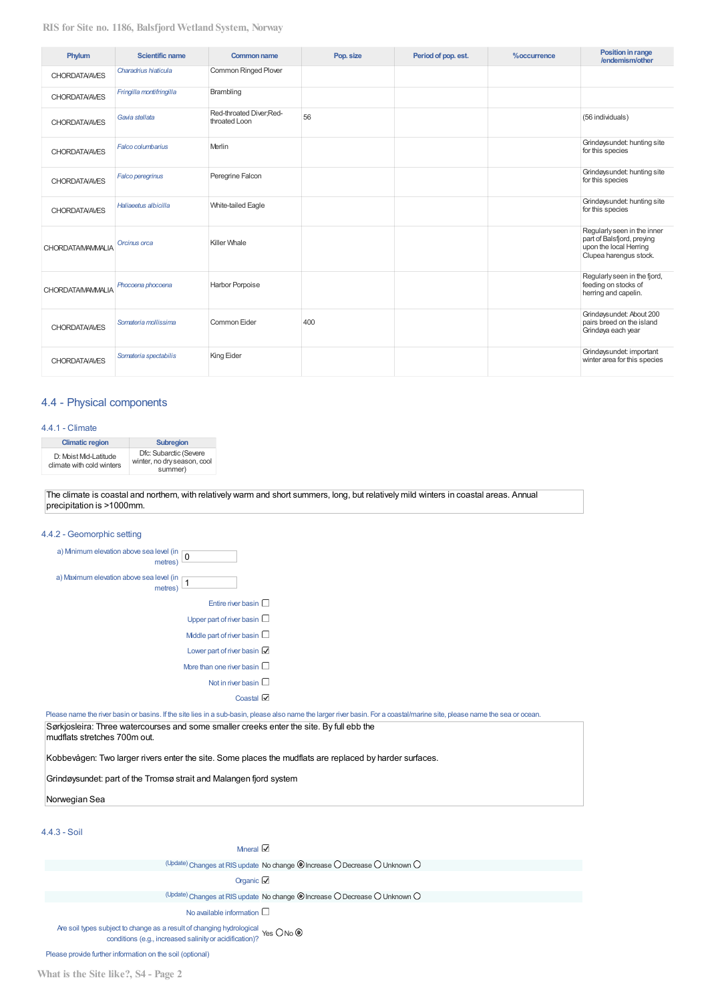| Phylum                   | <b>Scientific name</b>   | <b>Common name</b>                       | Pop. size | Period of pop. est. | %occurrence | <b>Position in range</b><br>/endemism/other                                                                   |
|--------------------------|--------------------------|------------------------------------------|-----------|---------------------|-------------|---------------------------------------------------------------------------------------------------------------|
| <b>CHORDATA/AVES</b>     | Charadrius hiaticula     | Common Ringed Plover                     |           |                     |             |                                                                                                               |
| <b>CHORDATA/AVES</b>     | Fringilla montifringilla | Brambling                                |           |                     |             |                                                                                                               |
| <b>CHORDATA/AVES</b>     | Gavia stellata           | Red-throated Diver:Red-<br>throated Loon | 56        |                     |             | (56 individuals)                                                                                              |
| <b>CHORDATA/AVES</b>     | Falco columbarius        | Merlin                                   |           |                     |             | Grindøysundet: hunting site<br>for this species                                                               |
| <b>CHORDATA/AVES</b>     | <b>Falco peregrinus</b>  | Peregrine Falcon                         |           |                     |             | Grindøysundet: hunting site<br>for this species                                                               |
| <b>CHORDATA/AVES</b>     | Haliaeetus albicilla     | White-tailed Eagle                       |           |                     |             | Grindøysundet: hunting site<br>for this species                                                               |
| <b>CHORDATA/MAMMALIA</b> | Orcinus orca             | Killer Whale                             |           |                     |             | Regularly seen in the inner<br>part of Balsfjord, preying<br>upon the local Herring<br>Clupea harengus stock. |
| <b>CHORDATA/MAMMALIA</b> | Phocoena phocoena        | Harbor Porpoise                          |           |                     |             | Regularly seen in the fjord,<br>feeding on stocks of<br>herring and capelin.                                  |
| <b>CHORDATA/AVES</b>     | Somateria mollissima     | Common Eider                             | 400       |                     |             | Grindøysundet: About 200<br>pairs breed on the island<br>Grindøya each year                                   |
| <b>CHORDATA/AVES</b>     | Somateria spectabilis    | King Eider                               |           |                     |             | Grindøysundet: important<br>winter area for this species                                                      |

## 4.4 - Physical components

#### 4.4.1 - Climate

| <b>Climatic region</b>                             | <b>Subregion</b>                                                 |
|----------------------------------------------------|------------------------------------------------------------------|
| D: Moist Mid-Latitude<br>climate with cold winters | Dfc: Subarctic (Severe<br>winter, no dry season, cool<br>summer) |

The climate is coastal and northern, with relatively warm and short summers, long, but relatively mild winters in coastal areas. Annual precipitation is >1000mm.

| 4.4.2 - Geomorphic setting                                                                                                                                                |
|---------------------------------------------------------------------------------------------------------------------------------------------------------------------------|
| a) Mnimum elevation above sea level (in<br>$\pmb{0}$<br>metres)                                                                                                           |
| a) Maximum elevation above sea level (in p<br>metres <sup>'</sup>                                                                                                         |
| Entire river basin $\square$                                                                                                                                              |
| Upper part of river basin $\Box$                                                                                                                                          |
| Middle part of river basin $\square$                                                                                                                                      |
| Lower part of river basin                                                                                                                                                 |
| More than one river basin $\Box$                                                                                                                                          |
| Not in river basin $\square$                                                                                                                                              |
| Coastal $\boxtimes$                                                                                                                                                       |
| Please name the river basin or basins. If the site lies in a sub-basin, please also name the larger river basin. For a coastal/marine site, please name the sea or ocean. |
| Sørkjosleira: Three watercourses and some smaller creeks enter the site. By full ebb the<br>mudflats stretches 700m out.                                                  |

Kobbevågen: Two larger rivers enter the site. Some places the mudflats are replaced by harder surfaces.

Grindøysundet: part of the Tromsø strait and Malangen fjord system

## Norwegian Sea

## $4.4.3 -$ Soil

Mneral  $\boxtimes$ 

(Update) Changes at RIS update No change @ Increase O Decrease O Unknown O

Organic  $\boxtimes$ 

(Update) Changes at RIS update No change @ Increase O Decrease O Unknown O

No available information  $\square$ 

Are soil types subject to change as a result of changing hydrological  $\gamma$ es O No  $\circledcirc$  conditions (e.g., increased salinity or acidification)?

Please provide further information on the soil (optional)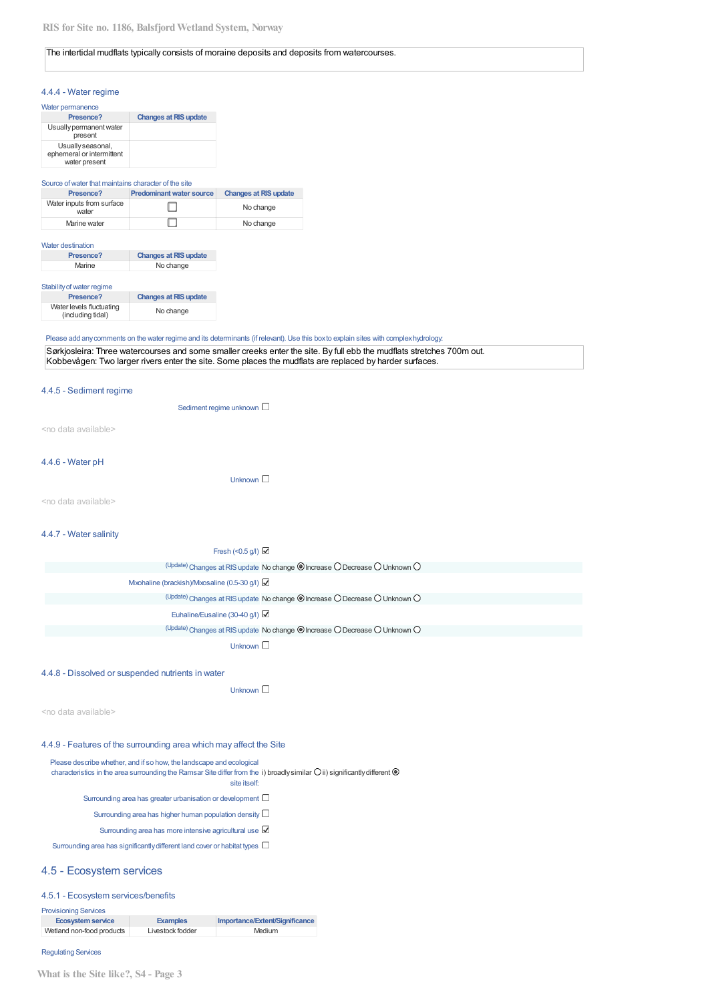#### The intertidal mudflats typically consists of moraine deposits and deposits from watercourses.

#### 4.4.4 - Water regime

| Water permanence                                                |                              |
|-----------------------------------------------------------------|------------------------------|
| Presence?                                                       | <b>Changes at RIS update</b> |
| Usually permanent water<br>present                              |                              |
| Usually seasonal,<br>ephemeral or intermittent<br>water present |                              |

#### Source of water that maintains character of the site

| Presence?                          | <b>Predominant water source</b> | <b>Changes at RIS update</b> |
|------------------------------------|---------------------------------|------------------------------|
| Water inputs from surface<br>water |                                 | No change                    |
| Marine water                       |                                 | No change                    |

#### Water destination

| Presence? | <b>Changes at RIS update</b> |
|-----------|------------------------------|
| Marine    | No change                    |

#### Stability of water regime

| Presence?                                     | <b>Changes at RIS update</b> |
|-----------------------------------------------|------------------------------|
| Water levels fluctuating<br>(including tidal) | No change                    |

#### Please add any comments on the water regime and its determinants (if relevant). Use this box to explain sites with complex hydrology.

| Sørkjosleira: Three watercourses and some smaller creeks enter the site. By full ebb the mudflats stretches 700m out. |
|-----------------------------------------------------------------------------------------------------------------------|
| Kobbevågen: Two larger rivers enter the site. Some places the mudilats are replaced by harder surfaces.               |

#### 4.4.5 - Sediment regime

Sediment regime unknown  $\square$ 

<no data available>

#### 4.4.6 - Water pH

Unknown  $\square$ 

<no data available>

#### 4.4.7 - Water salinity

| Fresh (<0.5 g/l) $\boxtimes$                                               |  |
|----------------------------------------------------------------------------|--|
| (Update) Changes at RIS update No change © Increase O Decrease O Unknown O |  |
| Mxohaline (brackish)/Mxosaline (0.5-30 g/l)                                |  |
| (Update) Changes at RIS update No change @ Increase O Decrease O Unknown O |  |
| Euhaline/Eusaline (30-40 g/l)                                              |  |
| (Update) Changes at RIS update No change @ Increase O Decrease O Unknown O |  |
| Unknown $\square$                                                          |  |

#### 4.4.8 - Dissolved or suspended nutrients in water

Unknown  $\square$ 

<no data available>

#### 4.4.9 - Features of the surrounding area which may affect the Site

Please describe whether, and if so how, the landscape and ecological characteristics in the area surrounding the Ramsar Site differ from the i) broadly similar  $O$  ii) significantly different  $\circledast$ site itself: Surrounding area has greater urbanisation or development  $\Box$ Surrounding area has higher human population density  $\Box$ Surrounding area has more intensive agricultural use Surrounding area has significantly different land cover or habitat types  $\Box$ 

#### 4.5 - Ecosystem services

#### 4.5.1 - Ecosystem services/benefits

| <b>I</b> TOWORTHING OUT MOOD |                  |                                |
|------------------------------|------------------|--------------------------------|
| Ecosystem service            | <b>Examples</b>  | Importance/Extent/Significance |
| Wetland non-food products    | Livestock fodder | Medium                         |

#### **Regulating Services**

**Provisioning Senices**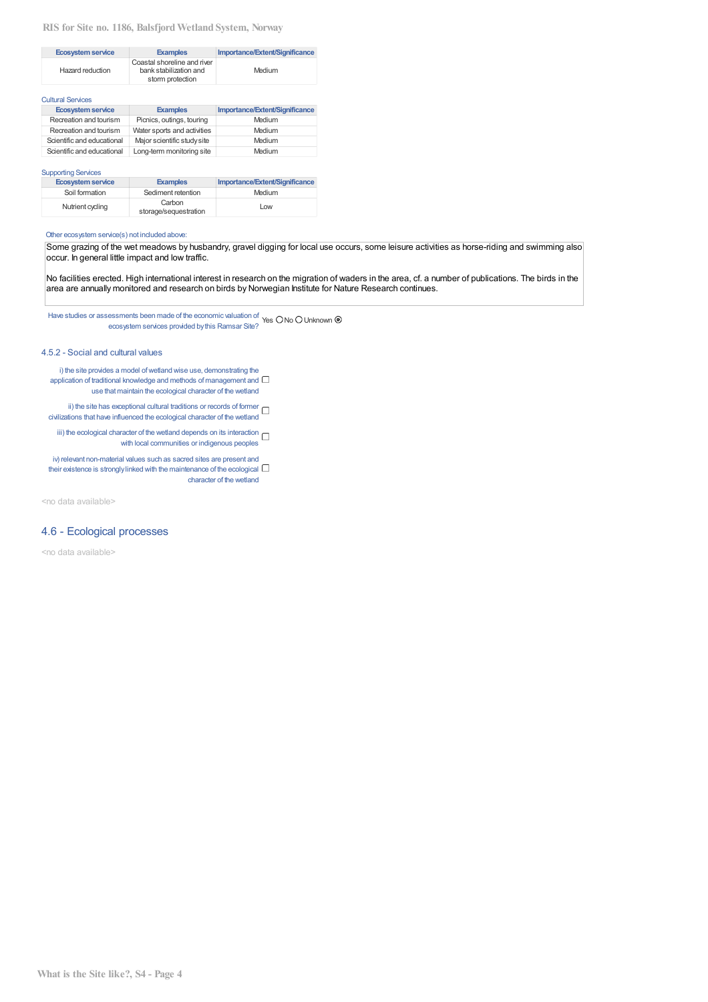## RIS for Site no. 1186, Balsfjord Wetland System, Norway

| <b>Ecosystem service</b> | <b>Examples</b>                                                           | Importance/Extent/Significance |
|--------------------------|---------------------------------------------------------------------------|--------------------------------|
| Hazard reduction         | Coastal shoreline and river<br>bank stabilization and<br>storm protection | Medium                         |

| <b>Cultural Services</b>   |                             |                                |
|----------------------------|-----------------------------|--------------------------------|
| <b>Ecosystem service</b>   | <b>Examples</b>             | Importance/Extent/Significance |
| Recreation and tourism     | Picnics, outings, touring   | Medium                         |
| Recreation and tourism     | Water sports and activities | Medium                         |
| Scientific and educational | Maior scientific study site | Medium                         |
| Scientific and educational | Long-term monitoring site   | Medium                         |

#### **Supporting Services**

| <b>Ecosystem service</b> | <b>Examples</b>                 | Importance/Extent/Significance |
|--------------------------|---------------------------------|--------------------------------|
| Soil formation           | Sediment retention              | Medium                         |
| Nutrient cycling         | Carbon<br>storage/sequestration | Low                            |

#### Other ecosystem service(s) not included above:

Some grazing of the wet meadows by husbandry, gravel digging for local use occurs, some leisure activities as horse-riding and swimming also occur. In general little impact and low traffic.

No facilities erected. High international interest in research on the migration of waders in the area, cf. a number of publications. The birds in the area are annually monitored and research on birds by Norwegian Institute for Nature Research continues.

Have studies or assessments been made of the economic valuation of  $\gamma$ es O No O Unknown  $\circledast$ ecosystem services provided by this Ramsar Site?

#### 4.5.2 - Social and cultural values

- i) the site provides a model of wetland wise use, demonstrating the application of traditional knowledge and methods of management and  $\Box$ use that maintain the ecological character of the wetland
- ii) the site has exceptional cultural traditions or records of former  $\Box$ <br>civilizations that have influenced the ecological character of the wetland
	- iii) the ecological character of the wetland depends on its interaction  $\Box$ with local communities or indigenous peoples
- iv) relevant non-material values such as sacred sites are present and their existence is strongly linked with the maintenance of the ecological  $\Box$ character of the wetland

<no data available>

## 4.6 - Ecological processes

<no data available>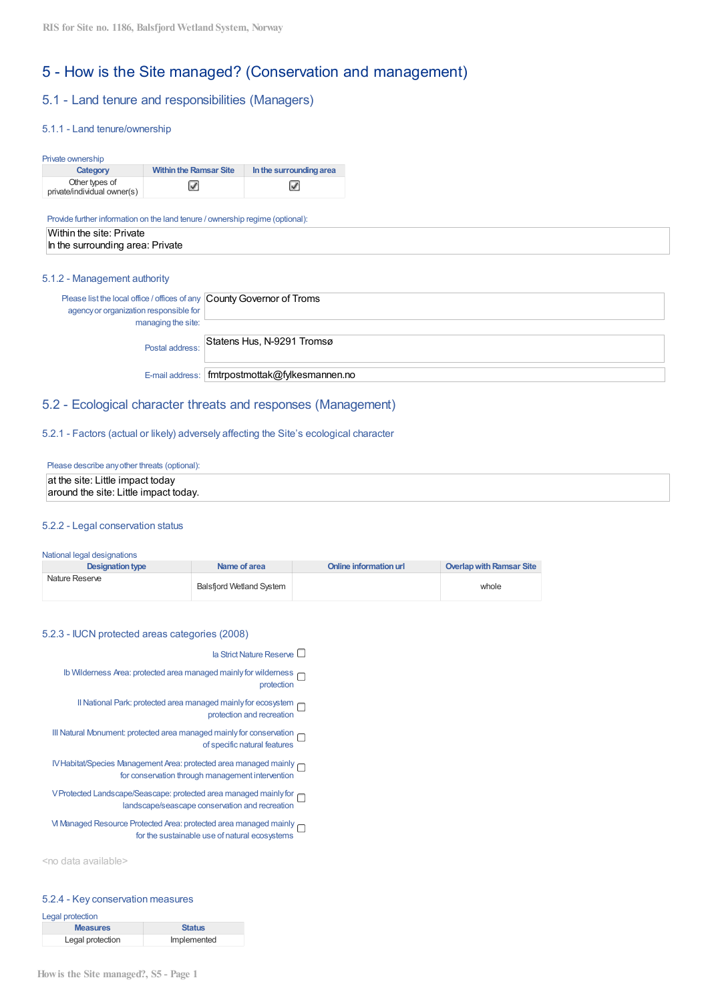# 5 - How is the Site managed? (Conservation and management)

# 5.1 - Land tenure and responsibilities (Managers)

## 5.1.1 - Land tenure/ownership

#### Private ownership

| Category                                      | <b>Within the Ramsar Site</b> | In the surrounding area |
|-----------------------------------------------|-------------------------------|-------------------------|
| Other types of<br>private/individual owner(s) |                               | ▽                       |

Provide further information on the land tenure / ownership regime (optional):

| Within the site: Private         |
|----------------------------------|
| In the surrounding area: Private |

## 5.1.2 - Management authority

| Please list the local office / offices of any County Governor of Troms<br>agency or organization responsible for |                                                  |
|------------------------------------------------------------------------------------------------------------------|--------------------------------------------------|
| managing the site:                                                                                               |                                                  |
| Postal address:                                                                                                  | Statens Hus, N-9291 Tromsø                       |
|                                                                                                                  | E-mail address:   fmtrpostmottak@fylkesmannen.no |

## 5.2 - Ecological character threats and responses (Management)

#### 5.2.1 - Factors (actual or likely) adversely affecting the Site's ecological character

## Please describe any other threats (optional):

# at the site: Little impact today around the site: Little impact today.

## 5.2.2 - Legal conservation status

#### National legal designations

| <b>Designation type</b> | Name of area                    | Online information url | Overlap with Ramsar Site |
|-------------------------|---------------------------------|------------------------|--------------------------|
| Nature Reserve          | <b>Balsfiord Wetland System</b> |                        | whole                    |

#### 5.2.3 - IUCN protected areas categories (2008)

- la Strict Nature Reserve  $\Box$
- Ib Wilderness Area: protected area managed mainly for wilderness  $\Box$ protection
	- Il National Park: protected area managed mainly for ecosystem protection and recreation
- III Natural Monument: protected area managed mainly for conservation of specific natural features
- IV Habitat/Species Management Area: protected area managed mainly for conservation through management intervention
- V Protected Landscape/Seascape: protected area managed mainly for no landscape/seascape conservation and recreation
- M Managed Resource Protected Area: protected area managed mainly  $\square$ for the sustainable use of natural ecosystems

<no data available>

## 5.2.4 - Key conservation measures

| Legal protection |               |
|------------------|---------------|
| <b>Measures</b>  | <b>Status</b> |
| Legal protection | Implemented   |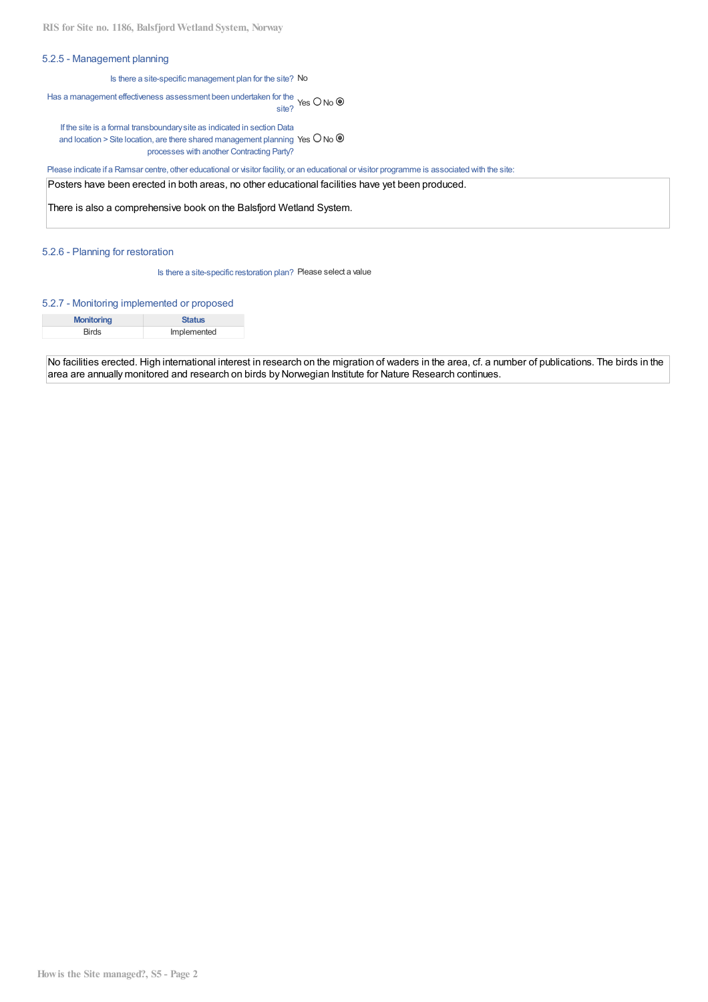## 5.2.5 - Management planning

Is there a site-specific management plan for the site? No

# Has a management effectiveness assessment been undertaken for the Yes O No  $\circledast$ site?

If the site is a formal transboundary site as indicated in section Data and location > Site location, are there shared management planning Yes  $\bigcirc$  No  $\circledast$ processes with another Contracting Party?

Please indicate if a Ramsar centre, other educational or visitor facility, or an educational or visitor programme is associated with the site:

Posters have been erected in both areas, no other educational facilities have yet been produced.

There is also a comprehensive book on the Balsfjord Wetland System.

## 5.2.6 - Planning for restoration

Is there a site-specific restoration plan? Please select a value

#### 5.2.7 - Monitoring implemented or proposed

| <b>Monitoring</b> | <b>Status</b> |
|-------------------|---------------|
| Birds             | Implemented   |

No facilities erected. High international interest in research on the migration of waders in the area, cf. a number of publications. The birds in the area are annually monitored and research on birds by Norwegian Institute for Nature Research continues.